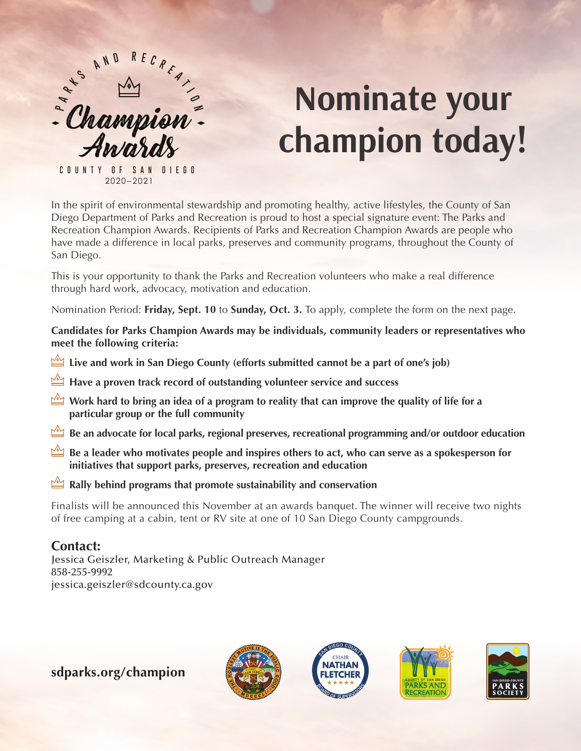

# **Nominate your champion today!**

2017 2020–2021 **COUNTY OF SAN DIEG O**

In the spirit of environmental stewardship and promoting healthy, active lifestyles, the County of San Diego Department of Parks and Recreation is proud to host a special signature event: The Parks and Recreation Champion Awards. Recipients of Parks and Recreation Champion Awards are people who have made a difference in local parks, preserves and community programs, throughout the County of San Diego.

This is your opportunity to thank the Parks and Recreation volunteers who make a real difference through hard work, advocacy, motivation and education.

Nomination Period: **Friday, Sept. 10** to **Sunday, Oct. 3.** To apply, complete the form on the next page.

**Candidates for Parks Champion Awards may be individuals, community leaders or representatives who meet the following criteria:**

- **Live and work in San Diego County (efforts submitted cannot be a part of one's job)**
- **Have a proven track record of outstanding volunteer service and success**
- **Work hard to bring an idea of a program to reality that can improve the quality of life for a particular group or the full community**
- **Be an advocate for local parks, regional preserves, recreational programming and/or outdoor education**
- **Be a leader who motivates people and inspires others to act, who can serve as a spokesperson for initiatives that support parks, preserves, recreation and education**
- **Rally behind programs that promote sustainability and conservation**

Finalists will be announced this November at an awards banquet. The winner will receive two nights of free camping at a cabin, tent or RV site at one of 10 San Diego County campgrounds.

# **Contact:**

Jessica Geiszler, Marketing & Public Outreach Manager 858-255-9992 jessica.geiszler@sdcounty.ca.gov

**sdparks.org/champion**